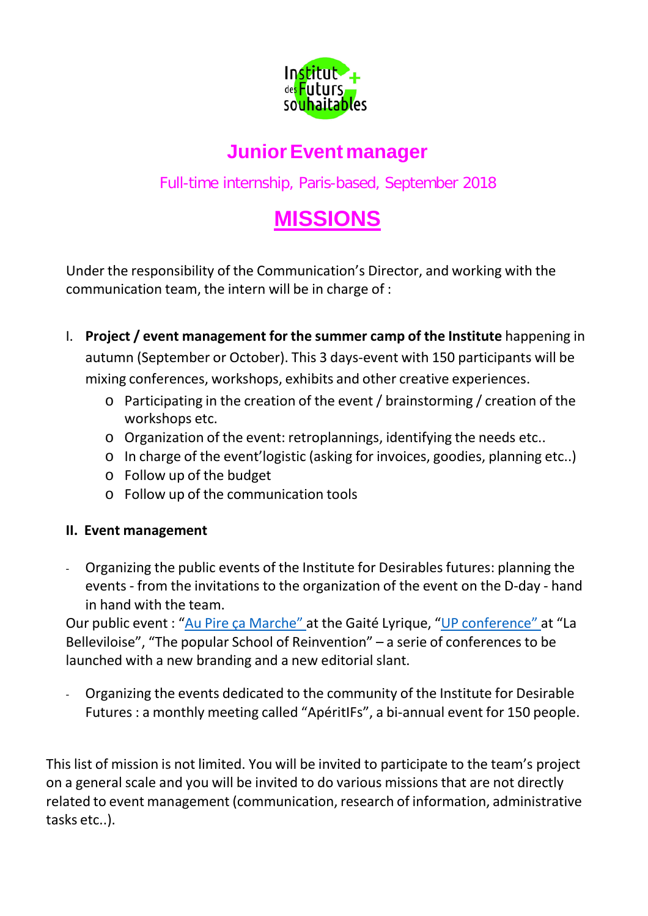

# **JuniorEvent manager**

Full-time internship, Paris-based, September 2018

# **MISSIONS**

Under the responsibility of the Communication's Director, and working with the communication team, the intern will be in charge of :

- I. **Project / event management for the summer camp of the Institute** happening in autumn (September or October). This 3 days-event with 150 participants will be mixing conferences, workshops, exhibits and other creative experiences.
	- o Participating in the creation of the event / brainstorming / creation of the workshops etc.
	- o Organization of the event: retroplannings, identifying the needs etc..
	- o In charge of the event'logistic (asking for invoices, goodies, planning etc..)
	- o Follow up of the budget
	- o Follow up of the communication tools

# **II. Event management**

- Organizing the public events of the Institute for Desirables futures: planning the events - from the invitations to the organization of the event on the D-day - hand in hand with the team.

Our public event : "Au Pire ça Marche" at the Gaité Lyrique, "UP conference" at "La Belleviloise", "The popular School of Reinvention" – a serie of conferences to be launched with a new branding and a new editorial slant.

- Organizing the events dedicated to the community of the Institute for Desirable Futures : a monthly meeting called "ApéritIFs", a bi-annual event for 150 people.

This list of mission is not limited. You will be invited to participate to the team's project on a general scale and you will be invited to do various missions that are not directly related to event management (communication, research of information, administrative tasks etc..).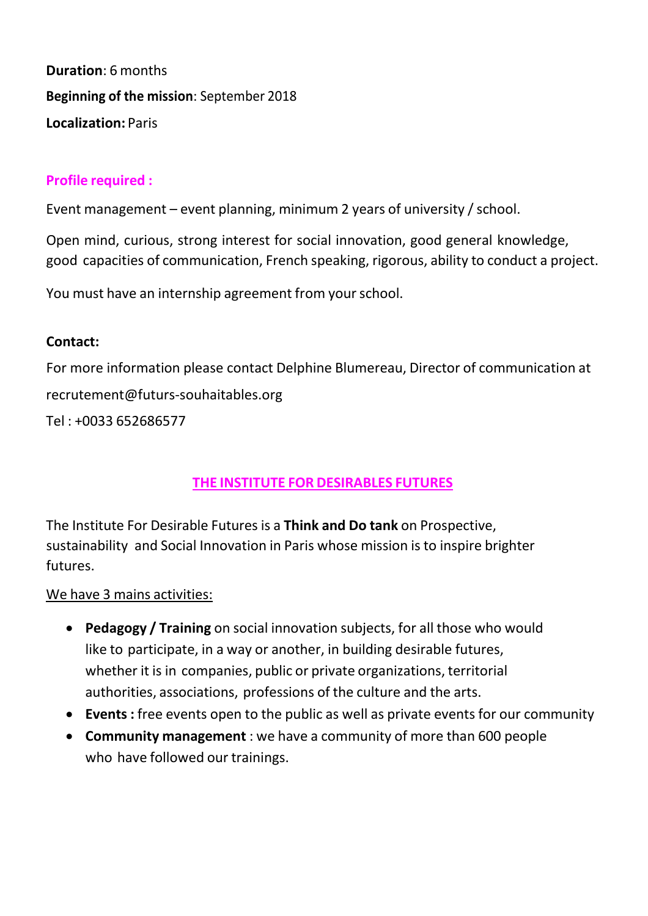**Duration**: 6 months **Beginning of the mission**: September 2018 **Localization:** Paris

#### **Profile required :**

Event management – event planning, minimum 2 years of university / school.

Open mind, curious, strong interest for social innovation, good general knowledge, good capacities of communication, French speaking, rigorous, ability to conduct a project.

You must have an internship agreement from your school.

#### **Contact:**

For more information please contact Delphine Blumereau, Director of communication a[t](mailto:recrutement@futurs-souhaitables.org) [recrutement@futurs-souhaitables.org](mailto:recrutement@futurs-souhaitables.org) Tel : +0033 652686577

# **THE INSTITUTE FOR DESIRABLES FUTURES**

The Institute For Desirable Futures is a **Think and Do tank** on Prospective, sustainability and Social Innovation in Paris whose mission is to inspire brighter futures.

We have 3 mains activities:

- **Pedagogy / Training** on social innovation subjects, for all those who would like to participate, in a way or another, in building desirable futures, whether it is in companies, public or private organizations, territorial authorities, associations, professions of the culture and the arts.
- **Events :** free events open to the public as well as private events for our community
- **Community management** : we have a community of more than 600 people who have followed our trainings.